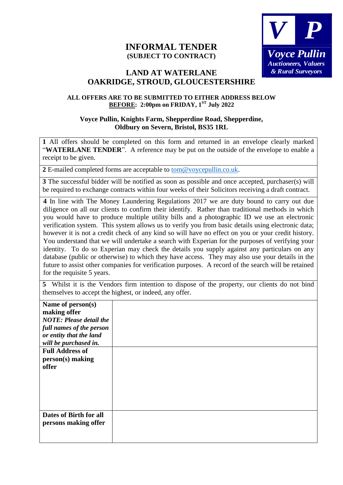## **INFORMAL TENDER (SUBJECT TO CONTRACT)**



## **LAND AT WATERLANE OAKRIDGE, STROUD, GLOUCESTERSHIRE**

## **ALL OFFERS ARE TO BE SUBMITTED TO EITHER ADDRESS BELOW BEFORE: 2:00pm on FRIDAY, 1 ST July 2022**

## **Voyce Pullin, Knights Farm, Shepperdine Road, Shepperdine, Oldbury on Severn, Bristol, BS35 1RL**

**1** All offers should be completed on this form and returned in an envelope clearly marked "**WATERLANE TENDER**". A reference may be put on the outside of the envelope to enable a receipt to be given.

**2** E-mailed completed forms are acceptable to [tom@voycepullin.co.uk.](mailto:tom@voycepullin.co.uk)

**3** The successful bidder will be notified as soon as possible and once accepted, purchaser(s) will be required to exchange contracts within four weeks of their Solicitors receiving a draft contract.

**4** In line with The Money Laundering Regulations 2017 we are duty bound to carry out due diligence on all our clients to confirm their identify. Rather than traditional methods in which you would have to produce multiple utility bills and a photographic ID we use an electronic verification system. This system allows us to verify you from basic details using electronic data; however it is not a credit check of any kind so will have no effect on you or your credit history. You understand that we will undertake a search with Experian for the purposes of verifying your identity. To do so Experian may check the details you supply against any particulars on any database (public or otherwise) to which they have access. They may also use your details in the future to assist other companies for verification purposes. A record of the search will be retained for the requisite 5 years.

| 5 Whilst it is the Vendors firm intention to dispose of the property, our clients do not bind |  |  |  |  |  |  |
|-----------------------------------------------------------------------------------------------|--|--|--|--|--|--|
| themselves to accept the highest, or indeed, any offer.                                       |  |  |  |  |  |  |

| Name of person(s)<br>making offer |  |
|-----------------------------------|--|
| <b>NOTE: Please detail the</b>    |  |
| full names of the person          |  |
| or entity that the land           |  |
| will be purchased in.             |  |
| <b>Full Address of</b>            |  |
| person(s) making                  |  |
| offer                             |  |
|                                   |  |
|                                   |  |
|                                   |  |
|                                   |  |
|                                   |  |
| Dates of Birth for all            |  |
| persons making offer              |  |
|                                   |  |
|                                   |  |